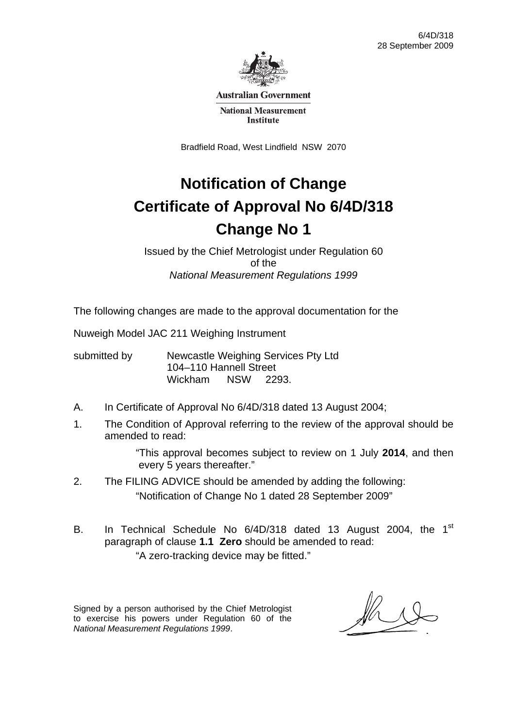

**Australian Government** 

**National Measurement Institute** 

Bradfield Road, West Lindfield NSW 2070

# **Notification of Change Certificate of Approval No 6/4D/318 Change No 1**

Issued by the Chief Metrologist under Regulation 60 of the *National Measurement Regulations 1999* 

The following changes are made to the approval documentation for the

Nuweigh Model JAC 211 Weighing Instrument

submitted by Mewcastle Weighing Services Pty Ltd 104–110 Hannell Street Wickham NSW 2293.

- A. In Certificate of Approval No 6/4D/318 dated 13 August 2004;
- 1. The Condition of Approval referring to the review of the approval should be amended to read:

 "This approval becomes subject to review on 1 July **2014**, and then every 5 years thereafter."

- 2. The FILING ADVICE should be amended by adding the following: "Notification of Change No 1 dated 28 September 2009"
- B. In Technical Schedule No 6/4D/318 dated 13 August 2004, the 1<sup>st</sup> paragraph of clause **1.1 Zero** should be amended to read:

"A zero-tracking device may be fitted."

Signed by a person authorised by the Chief Metrologist to exercise his powers under Regulation 60 of the *National Measurement Regulations 1999*.

 $\mathbb{Z}$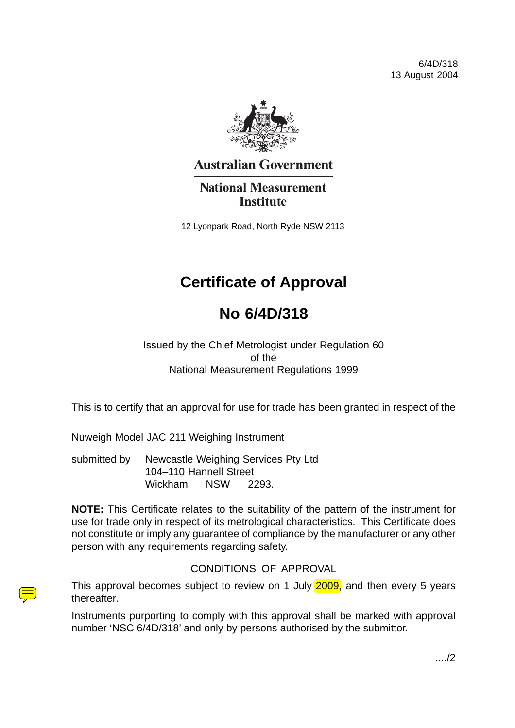

## **Australian Government**

**National Measurement Institute** 

12 Lyonpark Road, North Ryde NSW 2113

## **Certificate of Approval**

## **No 6/4D/318**

Issued by the Chief Metrologist under Regulation 60 of the National Measurement Regulations 1999

This is to certify that an approval for use for trade has been granted in respect of the

Nuweigh Model JAC 211 Weighing Instrument

submitted by Newcastle Weighing Services Pty Ltd 104–110 Hannell Street Wickham NSW 2293.

**NOTE:** This Certificate relates to the suitability of the pattern of the instrument for use for trade only in respect of its metrological characteristics. This Certificate does not constitute or imply any guarantee of compliance by the manufacturer or any other person with any requirements regarding safety.

## CONDITIONS OF APPROVAL

This approval becomes subject to review on 1 July 2009, and then every 5 years thereafter.

Instruments purporting to comply with this approval shall be marked with approval number 'NSC 6/4D/318' and only by persons authorised by the submittor.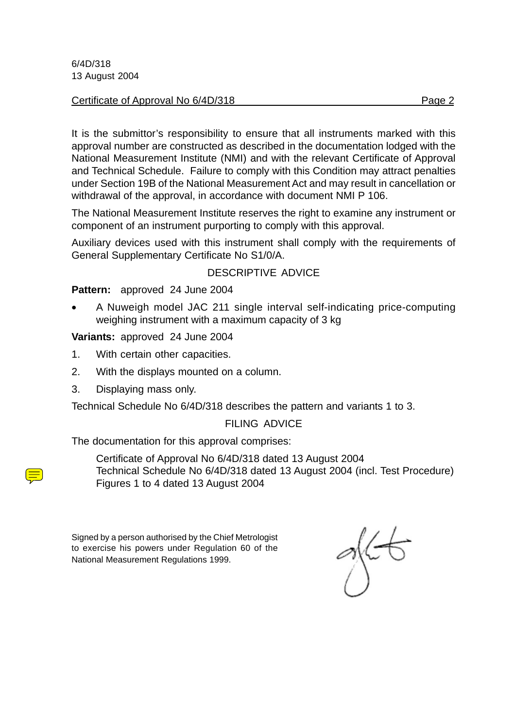#### Certificate of Approval No 6/4D/318 Page 2

It is the submittor's responsibility to ensure that all instruments marked with this approval number are constructed as described in the documentation lodged with the National Measurement Institute (NMI) and with the relevant Certificate of Approval and Technical Schedule. Failure to comply with this Condition may attract penalties under Section 19B of the National Measurement Act and may result in cancellation or withdrawal of the approval, in accordance with document NMI P 106.

The National Measurement Institute reserves the right to examine any instrument or component of an instrument purporting to comply with this approval.

Auxiliary devices used with this instrument shall comply with the requirements of General Supplementary Certificate No S1/0/A.

#### DESCRIPTIVE ADVICE

**Pattern:** approved 24 June 2004

• A Nuweigh model JAC 211 single interval self-indicating price-computing weighing instrument with a maximum capacity of 3 kg

**Variants:** approved 24 June 2004

- 1. With certain other capacities.
- 2. With the displays mounted on a column.
- 3. Displaying mass only.

Technical Schedule No 6/4D/318 describes the pattern and variants 1 to 3.

#### FILING ADVICE

The documentation for this approval comprises:

Certificate of Approval No 6/4D/318 dated 13 August 2004 Technical Schedule No 6/4D/318 dated 13 August 2004 (incl. Test Procedure) Figures 1 to 4 dated 13 August 2004

Signed by a person authorised by the Chief Metrologist to exercise his powers under Regulation 60 of the National Measurement Regulations 1999.

g(ct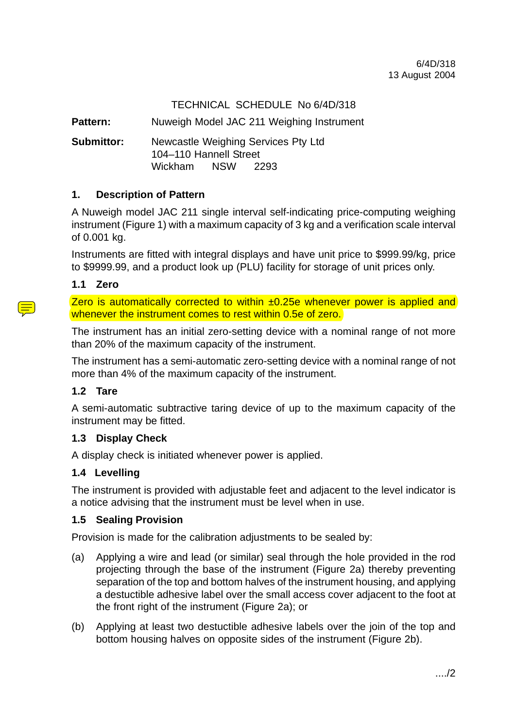## TECHNICAL SCHEDULE No 6/4D/318

Pattern: Nuweigh Model JAC 211 Weighing Instrument

**Submittor:** Newcastle Weighing Services Pty Ltd 104–110 Hannell Street Wickham NSW 2293

#### **1. Description of Pattern**

A Nuweigh model JAC 211 single interval self-indicating price-computing weighing instrument (Figure 1) with a maximum capacity of 3 kg and a verification scale interval of 0.001 kg.

Instruments are fitted with integral displays and have unit price to \$999.99/kg, price to \$9999.99, and a product look up (PLU) facility for storage of unit prices only.

#### **1.1 Zero**

Zero is automatically corrected to within  $\pm 0.25e$  whenever power is applied and whenever the instrument comes to rest within 0.5e of zero.

The instrument has an initial zero-setting device with a nominal range of not more than 20% of the maximum capacity of the instrument.

The instrument has a semi-automatic zero-setting device with a nominal range of not more than 4% of the maximum capacity of the instrument.

## **1.2 Tare**

A semi-automatic subtractive taring device of up to the maximum capacity of the instrument may be fitted.

## **1.3 Display Check**

A display check is initiated whenever power is applied.

## **1.4 Levelling**

The instrument is provided with adjustable feet and adjacent to the level indicator is a notice advising that the instrument must be level when in use.

#### **1.5 Sealing Provision**

Provision is made for the calibration adjustments to be sealed by:

- (a) Applying a wire and lead (or similar) seal through the hole provided in the rod projecting through the base of the instrument (Figure 2a) thereby preventing separation of the top and bottom halves of the instrument housing, and applying a destuctible adhesive label over the small access cover adjacent to the foot at the front right of the instrument (Figure 2a); or
- (b) Applying at least two destuctible adhesive labels over the join of the top and bottom housing halves on opposite sides of the instrument (Figure 2b).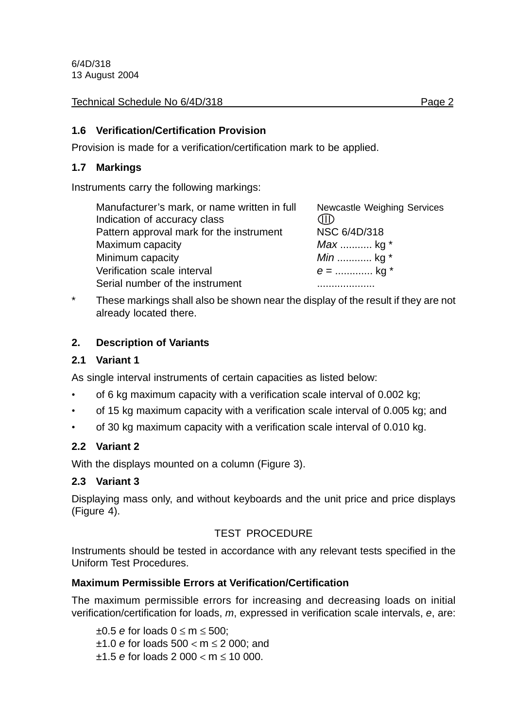Technical Schedule No 6/4D/318 **Page 2** Page 2

### **1.6 Verification/Certification Provision**

Provision is made for a verification/certification mark to be applied.

## **1.7 Markings**

Instruments carry the following markings:

| Manufacturer's mark, or name written in full | Newcastle Weighing Services |
|----------------------------------------------|-----------------------------|
| Indication of accuracy class                 | MD                          |
| Pattern approval mark for the instrument     | NSC 6/4D/318                |
| Maximum capacity                             | <i>Max</i> kg $*$           |
| Minimum capacity                             | <i>Min</i> kg $*$           |
| Verification scale interval                  | $e =$ kg *                  |
| Serial number of the instrument              |                             |

\* These markings shall also be shown near the display of the result if they are not already located there.

## **2. Description of Variants**

#### **2.1 Variant 1**

As single interval instruments of certain capacities as listed below:

- of 6 kg maximum capacity with a verification scale interval of 0.002 kg;
- of 15 kg maximum capacity with a verification scale interval of 0.005 kg; and
- of 30 kg maximum capacity with a verification scale interval of 0.010 kg.

## **2.2 Variant 2**

With the displays mounted on a column (Figure 3).

## **2.3 Variant 3**

Displaying mass only, and without keyboards and the unit price and price displays (Figure 4).

## TEST PROCEDURE

Instruments should be tested in accordance with any relevant tests specified in the Uniform Test Procedures.

## **Maximum Permissible Errors at Verification/Certification**

The maximum permissible errors for increasing and decreasing loads on initial verification/certification for loads, *m*, expressed in verification scale intervals, *e*, are:

±0.5 *e* for loads 0 ≤ m ≤ 500;

±1.0 *e* for loads 500 < m ≤ 2 000; and

±1.5 *e* for loads 2 000 < m ≤ 10 000.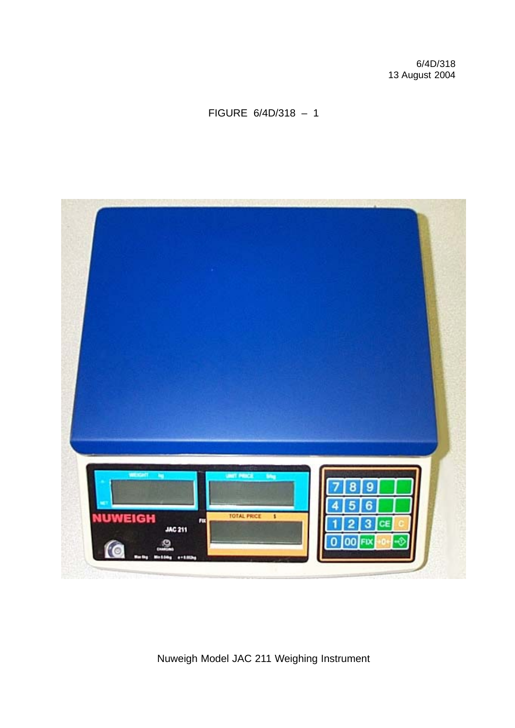## FIGURE 6/4D/318 – 1



Nuweigh Model JAC 211 Weighing Instrument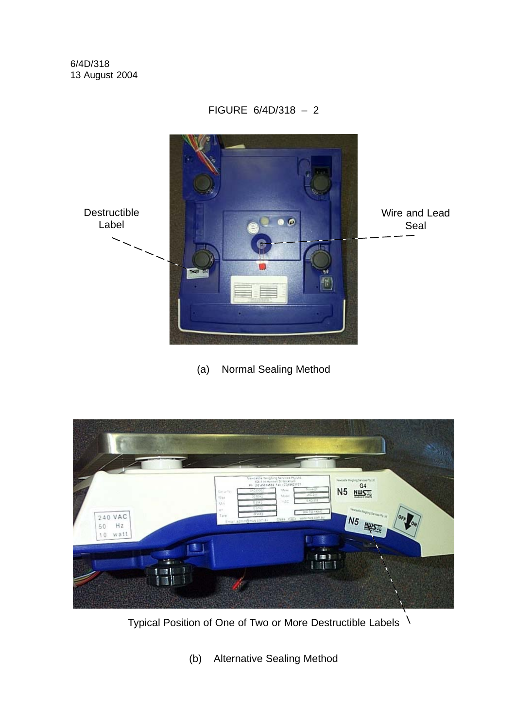FIGURE 6/4D/318 – 2



(a) Normal Sealing Method



Typical Position of One of Two or More Destructible Labels

(b) Alternative Sealing Method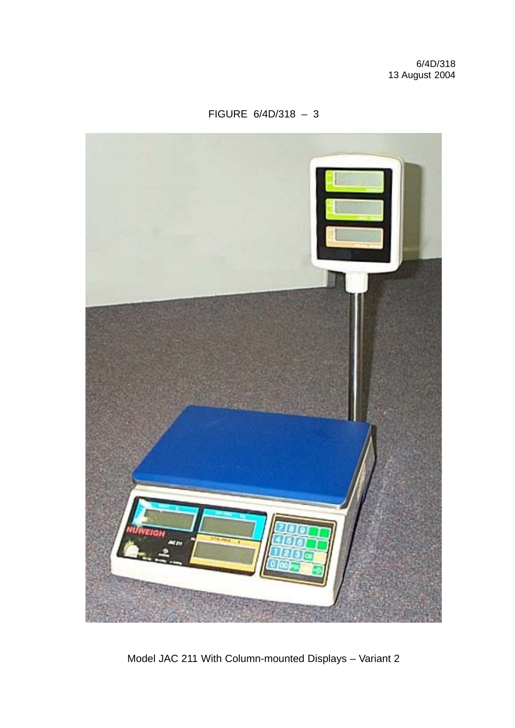## FIGURE 6/4D/318 – 3



Model JAC 211 With Column-mounted Displays – Variant 2